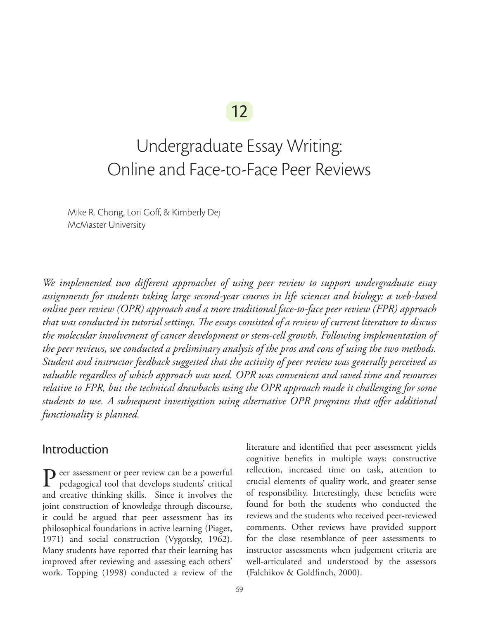# 12

# Undergraduate Essay Writing: Online and Face-to-Face Peer Reviews

Mike R. Chong, Lori Goff, & Kimberly Dej McMaster University

*We implemented two different approaches of using peer review to support undergraduate essay assignments for students taking large second-year courses in life sciences and biology: a web-based online peer review (OPR) approach and a more traditional face-to-face peer review (FPR) approach that was conducted in tutorial settings. The essays consisted of a review of current literature to discuss the molecular involvement of cancer development or stem-cell growth. Following implementation of the peer reviews, we conducted a preliminary analysis of the pros and cons of using the two methods. Student and instructor feedback suggested that the activity of peer review was generally perceived as valuable regardless of which approach was used. OPR was convenient and saved time and resources relative to FPR, but the technical drawbacks using the OPR approach made it challenging for some students to use. A subsequent investigation using alternative OPR programs that offer additional functionality is planned.*

#### Introduction

Peer assessment or peer review can be a powerful<br>pedagogical tool that deep the control pedagogical tool that develops students' critical and creative thinking skills. Since it involves the joint construction of knowledge through discourse, it could be argued that peer assessment has its philosophical foundations in active learning (Piaget, 1971) and social construction (Vygotsky, 1962). Many students have reported that their learning has improved after reviewing and assessing each others' work. Topping (1998) conducted a review of the

literature and identified that peer assessment yields cognitive benefits in multiple ways: constructive reflection, increased time on task, attention to crucial elements of quality work, and greater sense of responsibility. Interestingly, these benefits were found for both the students who conducted the reviews and the students who received peer-reviewed comments. Other reviews have provided support for the close resemblance of peer assessments to instructor assessments when judgement criteria are well-articulated and understood by the assessors (Falchikov & Goldfinch, 2000).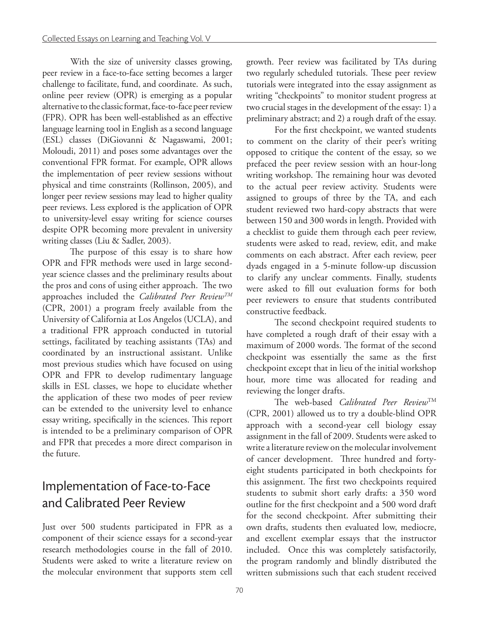With the size of university classes growing, peer review in a face-to-face setting becomes a larger challenge to facilitate, fund, and coordinate. As such, online peer review (OPR) is emerging as a popular alternative to the classic format, face-to-face peer review (FPR). OPR has been well-established as an effective language learning tool in English as a second language (ESL) classes (DiGiovanni & Nagaswami, 2001; Moloudi, 2011) and poses some advantages over the conventional FPR format. For example, OPR allows the implementation of peer review sessions without physical and time constraints (Rollinson, 2005), and longer peer review sessions may lead to higher quality peer reviews. Less explored is the application of OPR to university-level essay writing for science courses despite OPR becoming more prevalent in university writing classes (Liu & Sadler, 2003).

The purpose of this essay is to share how OPR and FPR methods were used in large secondyear science classes and the preliminary results about the pros and cons of using either approach. The two approaches included the *Calibrated Peer ReviewTM* (CPR, 2001) a program freely available from the University of California at Los Angelos (UCLA), and a traditional FPR approach conducted in tutorial settings, facilitated by teaching assistants (TAs) and coordinated by an instructional assistant. Unlike most previous studies which have focused on using OPR and FPR to develop rudimentary language skills in ESL classes, we hope to elucidate whether the application of these two modes of peer review can be extended to the university level to enhance essay writing, specifically in the sciences. This report is intended to be a preliminary comparison of OPR and FPR that precedes a more direct comparison in the future.

### Implementation of Face-to-Face and Calibrated Peer Review

Just over 500 students participated in FPR as a component of their science essays for a second-year research methodologies course in the fall of 2010. Students were asked to write a literature review on the molecular environment that supports stem cell growth. Peer review was facilitated by TAs during two regularly scheduled tutorials. These peer review tutorials were integrated into the essay assignment as writing "checkpoints" to monitor student progress at two crucial stages in the development of the essay: 1) a preliminary abstract; and 2) a rough draft of the essay.

For the first checkpoint, we wanted students to comment on the clarity of their peer's writing opposed to critique the content of the essay, so we prefaced the peer review session with an hour-long writing workshop. The remaining hour was devoted to the actual peer review activity. Students were assigned to groups of three by the TA, and each student reviewed two hard-copy abstracts that were between 150 and 300 words in length. Provided with a checklist to guide them through each peer review, students were asked to read, review, edit, and make comments on each abstract. After each review, peer dyads engaged in a 5-minute follow-up discussion to clarify any unclear comments. Finally, students were asked to fill out evaluation forms for both peer reviewers to ensure that students contributed constructive feedback.

The second checkpoint required students to have completed a rough draft of their essay with a maximum of 2000 words. The format of the second checkpoint was essentially the same as the first checkpoint except that in lieu of the initial workshop hour, more time was allocated for reading and reviewing the longer drafts.

The web-based *Calibrated Peer Review*TM (CPR, 2001) allowed us to try a double-blind OPR approach with a second-year cell biology essay assignment in the fall of 2009. Students were asked to write a literature review on the molecular involvement of cancer development. Three hundred and fortyeight students participated in both checkpoints for this assignment. The first two checkpoints required students to submit short early drafts: a 350 word outline for the first checkpoint and a 500 word draft for the second checkpoint. After submitting their own drafts, students then evaluated low, mediocre, and excellent exemplar essays that the instructor included. Once this was completely satisfactorily, the program randomly and blindly distributed the written submissions such that each student received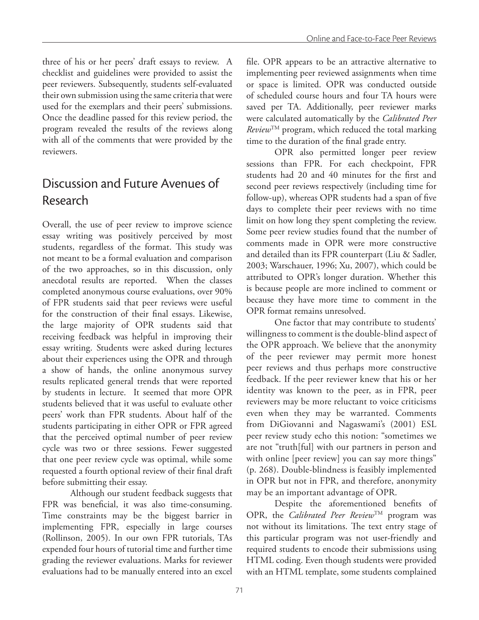three of his or her peers' draft essays to review. A checklist and guidelines were provided to assist the peer reviewers. Subsequently, students self-evaluated their own submission using the same criteria that were used for the exemplars and their peers' submissions. Once the deadline passed for this review period, the program revealed the results of the reviews along with all of the comments that were provided by the reviewers.

## Discussion and Future Avenues of Research

Overall, the use of peer review to improve science essay writing was positively perceived by most students, regardless of the format. This study was not meant to be a formal evaluation and comparison of the two approaches, so in this discussion, only anecdotal results are reported. When the classes completed anonymous course evaluations, over 90% of FPR students said that peer reviews were useful for the construction of their final essays. Likewise, the large majority of OPR students said that receiving feedback was helpful in improving their essay writing. Students were asked during lectures about their experiences using the OPR and through a show of hands, the online anonymous survey results replicated general trends that were reported by students in lecture. It seemed that more OPR students believed that it was useful to evaluate other peers' work than FPR students. About half of the students participating in either OPR or FPR agreed that the perceived optimal number of peer review cycle was two or three sessions. Fewer suggested that one peer review cycle was optimal, while some requested a fourth optional review of their final draft before submitting their essay.

Although our student feedback suggests that FPR was beneficial, it was also time-consuming. Time constraints may be the biggest barrier in implementing FPR, especially in large courses (Rollinson, 2005). In our own FPR tutorials, TAs expended four hours of tutorial time and further time grading the reviewer evaluations. Marks for reviewer evaluations had to be manually entered into an excel

file. OPR appears to be an attractive alternative to implementing peer reviewed assignments when time or space is limited. OPR was conducted outside of scheduled course hours and four TA hours were saved per TA. Additionally, peer reviewer marks were calculated automatically by the *Calibrated Peer Review*TM program, which reduced the total marking time to the duration of the final grade entry.

OPR also permitted longer peer review sessions than FPR. For each checkpoint, FPR students had 20 and 40 minutes for the first and second peer reviews respectively (including time for follow-up), whereas OPR students had a span of five days to complete their peer reviews with no time limit on how long they spent completing the review. Some peer review studies found that the number of comments made in OPR were more constructive and detailed than its FPR counterpart (Liu & Sadler, 2003; Warschauer, 1996; Xu, 2007), which could be attributed to OPR's longer duration. Whether this is because people are more inclined to comment or because they have more time to comment in the OPR format remains unresolved.

One factor that may contribute to students' willingness to comment is the double-blind aspect of the OPR approach. We believe that the anonymity of the peer reviewer may permit more honest peer reviews and thus perhaps more constructive feedback. If the peer reviewer knew that his or her identity was known to the peer, as in FPR, peer reviewers may be more reluctant to voice criticisms even when they may be warranted. Comments from DiGiovanni and Nagaswami's (2001) ESL peer review study echo this notion: "sometimes we are not "truth[ful] with our partners in person and with online [peer review] you can say more things" (p. 268). Double-blindness is feasibly implemented in OPR but not in FPR, and therefore, anonymity may be an important advantage of OPR.

Despite the aforementioned benefits of OPR, the *Calibrated Peer Review*TM program was not without its limitations. The text entry stage of this particular program was not user-friendly and required students to encode their submissions using HTML coding. Even though students were provided with an HTML template, some students complained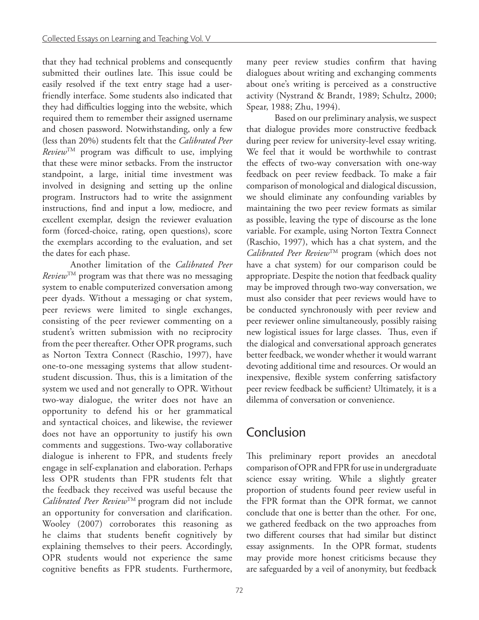that they had technical problems and consequently submitted their outlines late. This issue could be easily resolved if the text entry stage had a userfriendly interface. Some students also indicated that they had difficulties logging into the website, which required them to remember their assigned username and chosen password. Notwithstanding, only a few (less than 20%) students felt that the *Calibrated Peer Review*TM program was difficult to use, implying that these were minor setbacks. From the instructor standpoint, a large, initial time investment was involved in designing and setting up the online program. Instructors had to write the assignment instructions, find and input a low, mediocre, and excellent exemplar, design the reviewer evaluation form (forced-choice, rating, open questions), score the exemplars according to the evaluation, and set the dates for each phase.

Another limitation of the *Calibrated Peer*   $Review^{TM}$  program was that there was no messaging system to enable computerized conversation among peer dyads. Without a messaging or chat system, peer reviews were limited to single exchanges, consisting of the peer reviewer commenting on a student's written submission with no reciprocity from the peer thereafter. Other OPR programs, such as Norton Textra Connect (Raschio, 1997), have one-to-one messaging systems that allow studentstudent discussion. Thus, this is a limitation of the system we used and not generally to OPR. Without two-way dialogue, the writer does not have an opportunity to defend his or her grammatical and syntactical choices, and likewise, the reviewer does not have an opportunity to justify his own comments and suggestions. Two-way collaborative dialogue is inherent to FPR, and students freely engage in self-explanation and elaboration. Perhaps less OPR students than FPR students felt that the feedback they received was useful because the *Calibrated Peer Review*TM program did not include an opportunity for conversation and clarification. Wooley (2007) corroborates this reasoning as he claims that students benefit cognitively by explaining themselves to their peers. Accordingly, OPR students would not experience the same cognitive benefits as FPR students. Furthermore,

many peer review studies confirm that having dialogues about writing and exchanging comments about one's writing is perceived as a constructive activity (Nystrand & Brandt, 1989; Schultz, 2000; Spear, 1988; Zhu, 1994).

Based on our preliminary analysis, we suspect that dialogue provides more constructive feedback during peer review for university-level essay writing. We feel that it would be worthwhile to contrast the effects of two-way conversation with one-way feedback on peer review feedback. To make a fair comparison of monological and dialogical discussion, we should eliminate any confounding variables by maintaining the two peer review formats as similar as possible, leaving the type of discourse as the lone variable. For example, using Norton Textra Connect (Raschio, 1997), which has a chat system, and the *Calibrated Peer Review*TM program (which does not have a chat system) for our comparison could be appropriate. Despite the notion that feedback quality may be improved through two-way conversation, we must also consider that peer reviews would have to be conducted synchronously with peer review and peer reviewer online simultaneously, possibly raising new logistical issues for large classes. Thus, even if the dialogical and conversational approach generates better feedback, we wonder whether it would warrant devoting additional time and resources. Or would an inexpensive, flexible system conferring satisfactory peer review feedback be sufficient? Ultimately, it is a dilemma of conversation or convenience.

#### Conclusion

This preliminary report provides an anecdotal comparison of OPR and FPR for use in undergraduate science essay writing. While a slightly greater proportion of students found peer review useful in the FPR format than the OPR format, we cannot conclude that one is better than the other. For one, we gathered feedback on the two approaches from two different courses that had similar but distinct essay assignments. In the OPR format, students may provide more honest criticisms because they are safeguarded by a veil of anonymity, but feedback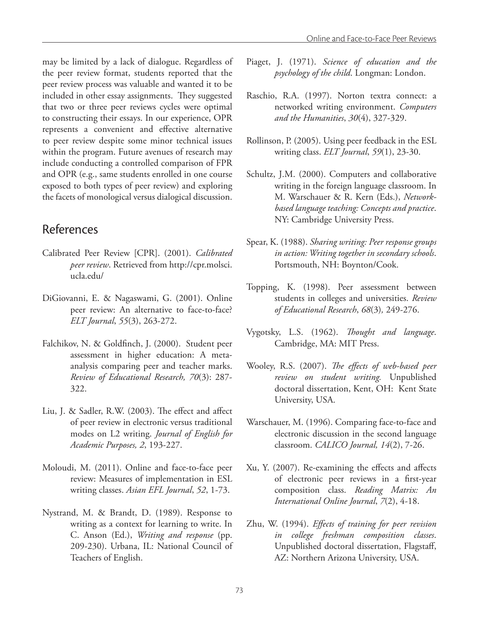may be limited by a lack of dialogue. Regardless of the peer review format, students reported that the peer review process was valuable and wanted it to be included in other essay assignments. They suggested that two or three peer reviews cycles were optimal to constructing their essays. In our experience, OPR represents a convenient and effective alternative to peer review despite some minor technical issues within the program. Future avenues of research may include conducting a controlled comparison of FPR and OPR (e.g., same students enrolled in one course exposed to both types of peer review) and exploring the facets of monological versus dialogical discussion.

#### References

- Calibrated Peer Review [CPR]. (2001). *Calibrated peer review*. Retrieved from http://cpr.molsci. ucla.edu/
- DiGiovanni, E. & Nagaswami, G. (2001). Online peer review: An alternative to face-to-face? *ELT Journal*, *55*(3), 263-272.
- Falchikov, N. & Goldfinch, J. (2000). Student peer assessment in higher education: A metaanalysis comparing peer and teacher marks. *Review of Educational Research, 70*(3): 287- 322.
- Liu, J. & Sadler, R.W. (2003). The effect and affect of peer review in electronic versus traditional modes on L2 writing. *Journal of English for Academic Purposes, 2*, 193-227.
- Moloudi, M. (2011). Online and face-to-face peer review: Measures of implementation in ESL writing classes. *Asian EFL Journal*, *52*, 1-73.
- Nystrand, M. & Brandt, D. (1989). Response to writing as a context for learning to write. In C. Anson (Ed.), *Writing and response* (pp. 209-230). Urbana, IL: National Council of Teachers of English.
- Piaget, J. (1971). *Science of education and the psychology of the child*. Longman: London.
- Raschio, R.A. (1997). Norton textra connect: a networked writing environment. *Computers and the Humanities*, *30*(4), 327-329.
- Rollinson, P. (2005). Using peer feedback in the ESL writing class. *ELT Journal*, *59*(1), 23-30.
- Schultz, J.M. (2000). Computers and collaborative writing in the foreign language classroom. In M. Warschauer & R. Kern (Eds.), *Networkbased language teaching: Concepts and practice*. NY: Cambridge University Press.
- Spear, K. (1988). *Sharing writing: Peer response groups in action: Writing together in secondary schools*. Portsmouth, NH: Boynton/Cook.
- Topping, K. (1998). Peer assessment between students in colleges and universities. *Review of Educational Research*, *68*(3)*,* 249-276.
- Vygotsky, L.S. (1962). *Thought and language*. Cambridge, MA: MIT Press.
- Wooley, R.S. (2007). *The effects of web-based peer review on student writing.* Unpublished doctoral dissertation, Kent, OH: Kent State University, USA.
- Warschauer, M. (1996). Comparing face-to-face and electronic discussion in the second language classroom. *CALICO Journal, 14*(2), 7-26.
- Xu, Y. (2007). Re-examining the effects and affects of electronic peer reviews in a first-year composition class. *Reading Matrix: An International Online Journal*, *7*(2), 4-18.
- Zhu, W. (1994). *Effects of training for peer revision in college freshman composition classes*. Unpublished doctoral dissertation, Flagstaff, AZ: Northern Arizona University, USA.